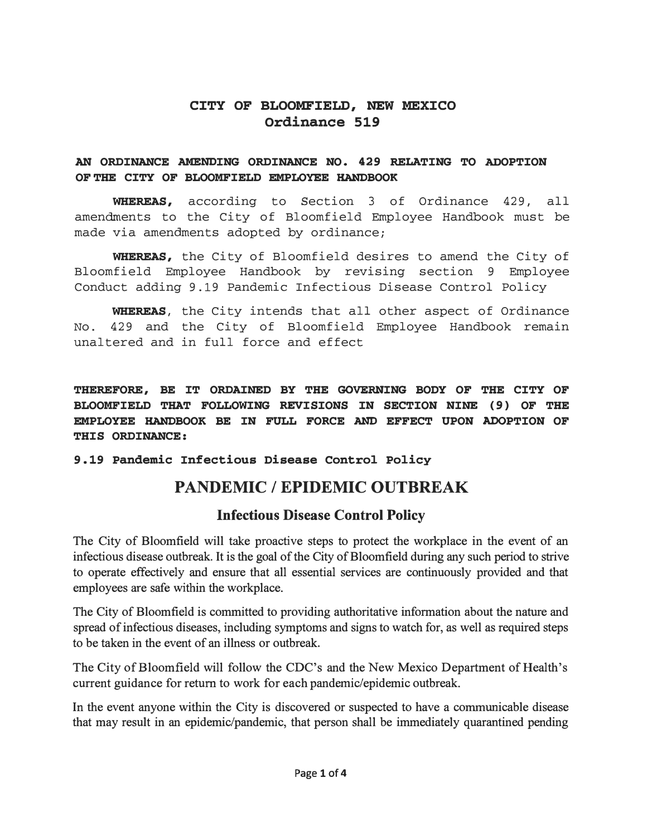#### **CITY OF BLOOMFIELD, NEW MEXICO Ordinance 519**

#### **AN ORDINANCE AMENDING ORDINANCE NO. 429 RELATING TO ADOPTION OF THE CITY OF BLOOMFIELD EMPLOYEE HANDBOOK**

**WHEREAS,** according to Section 3 of Ordinance 429, all amendments to the City of Bloomfield Employee Handbook must be made via amendments adopted by ordinance;

**WHEREAS,** the City of Bloomfield desires to amend the City of Bloomfield Employee Handbook by revising section 9 Employee Conduct adding 9.19 Pandemic Infectious Disease Control Policy

**WHEREAS,** the City intends that all other aspect of Ordinance No. 429 and the City of Bloomfield Employee Handbook remain unaltered and in full force and effect

**THEREFORE, BE IT ORDAINED BY THE GOVERNING BODY OF THE CITY OF BLOOMFIELD THAT FOLLOWING REVISIONS IN SECTION NINE { 9) OF THE EMPLOYEE HANDBOOK BE IN FULL FORCE AND EFFECT UPON ADOPTION OF THIS ORDINANCE:** 

#### **9.19 Pandemic Infectious Disease Control Policy**

# **PANDEMIC/ EPIDEMIC OUTBREAK**

#### **Infectious Disease Control Policy**

The City of Bloomfield will take proactive steps to protect the workplace in the event of an infectious disease outbreak. It is the goal of the City of Bloomfield during any such period to strive to operate effectively and ensure that all essential services are continuously provided and that employees are safe within the workplace.

The City of Bloomfield is committed to providing authoritative information about the nature and spread of infectious diseases, including symptoms and signs to watch for, as well as required steps to be taken in the event of an illness or outbreak:.

The City of Bloomfield will follow the CDC's and the New Mexico Department of Health's current guidance for return to work for each pandemic/epidemic outbreak.

In the event anyone within the City is discovered or suspected to have a communicable disease that may result in an epidemic/pandemic, that person shall be immediately quarantined pending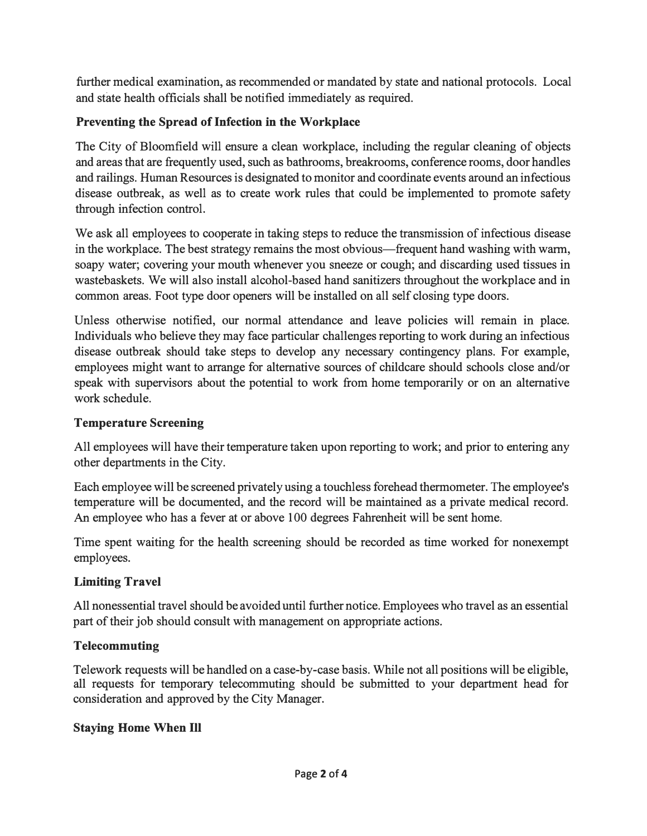further medical examination, as recommended or mandated by state and national protocols. Local and state health officials shall be notified immediately as required.

#### Preventing the Spread of Infection in the Workplace

The City of Bloomfield will ensure a clean workplace, including the regular cleaning of objects and areas that are frequently used, such as bathrooms, breakrooms, conference rooms, door handles and railings. Human Resources is designated to monitor and coordinate events around an infectious disease outbreak, as well as to create work rules that could be implemented to promote safety through infection control.

We ask all employees to cooperate in taking steps to reduce the transmission of infectious disease in the workplace. The best strategy remains the most obvious—frequent hand washing with warm, soapy water; covering your mouth whenever you sneeze or cough; and discarding used tissues in wastebaskets. We will also install alcohol-based hand sanitizers throughout the workplace and in common areas. Foot type door openers will be installed on all self closing type doors.

Unless otherwise notified, our normal attendance and leave policies will remain in place. Individuals who believe they may face particular challenges reporting to work during an infectious disease outbreak should take steps to develop any necessary contingency plans. For example, employees might want to arrange for alternative sources of childcare should schools close and/or speak with supervisors about the potential to work from home temporarily or on an alternative work schedule.

#### Temperature Screening

All employees will have their temperature taken upon reporting to work; and prior to entering any other departments in the City.

Each employee will be screened privately using a touchless forehead thermometer. The employee's temperature will be documented, and the record will be maintained as a private medical record. An employee who has a fever at or above 100 degrees Fahrenheit will be sent home.

Time spent waiting for the health screening should be recorded as time worked for nonexempt employees.

## Limiting Travel

All nonessential travel should be avoided until further notice. Employees who travel as an essential part of their job should consult with management on appropriate actions.

#### Telecommuting

Telework requests will be handled on a case-by-case basis. While not all positions will be eligible, all requests for temporary telecommuting should be submitted to your department head for consideration and approved by the City Manager.

#### Staying Home When Ill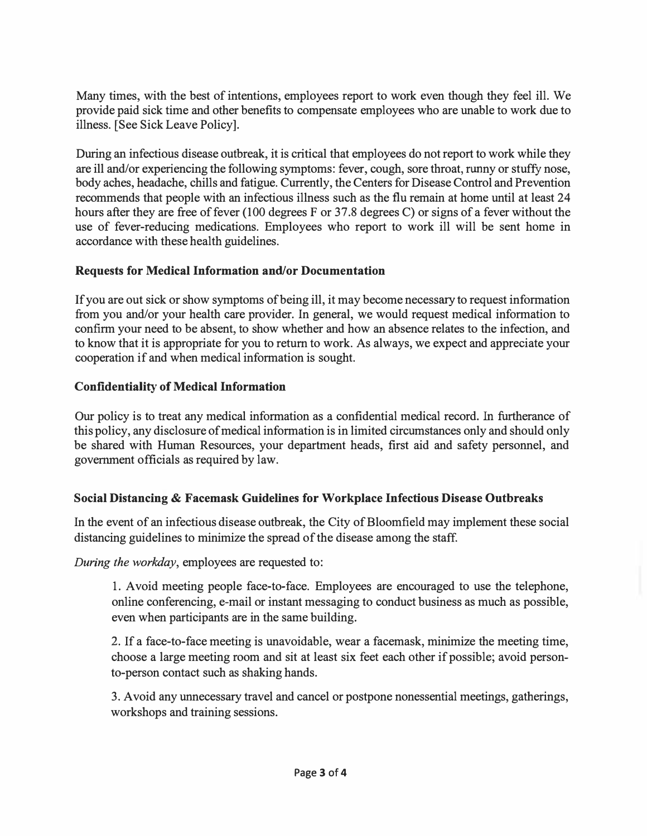Many times, with the best of intentions, employees report to work even though they feel ill. We provide paid sick time and other benefits to compensate employees who are unable to work due to illness. [See Sick Leave Policy].

During an infectious disease outbreak, it is critical that employees do not report to work while they are ill and/or experiencing the following symptoms: fever, cough, sore throat, runny or stuffy nose, body aches, headache, chills and fatigue. Currently, the Centers for Disease Control and Prevention recommends that people with an infectious illness such as the flu remain at home until at least 24 hours after they are free of fever (100 degrees F or 37.8 degrees C) or signs of a fever without the use of fever-reducing medications. Employees who report to work ill will be sent home in accordance with these health guidelines.

#### Requests for Medical Information and/or Documentation

If you are out sick or show symptoms of being ill, it may become necessary to request information from you and/or your health care provider. In general, we would request medical information to confirm your need to be absent, to show whether and how an absence relates to the infection, and to know that it is appropriate for you to return to work. As always, we expect and appreciate your cooperation if and when medical information is sought.

#### Confidentiality of Medical Information

Our policy is to treat any medical information as a confidential medical record. In furtherance of this policy, any disclosure of medical information is in limited circumstances only and should only be shared with Human Resources, your department heads, first aid and safety personnel, and government officials as required by law.

#### Social Distancing & Facemask Guidelines for Workplace Infectious Disease Outbreaks

In the event of an infectious disease outbreak, the City of Bloomfield may implement these social distancing guidelines to minimize the spread of the disease among the staff.

During the workday, employees are requested to:

1. Avoid meeting people face-to-face. Employees are encouraged to use the telephone, online conferencing, e-mail or instant messaging to conduct business as much as possible, even when participants are in the same building.

2. If a face-to-face meeting is unavoidable, wear a facemask, minimize the meeting time, choose a large meeting room and sit at least six feet each other if possible; avoid personto-person contact such as shaking hands.

3. Avoid any unnecessary travel and cancel or postpone nonessential meetings, gatherings, workshops and training sessions.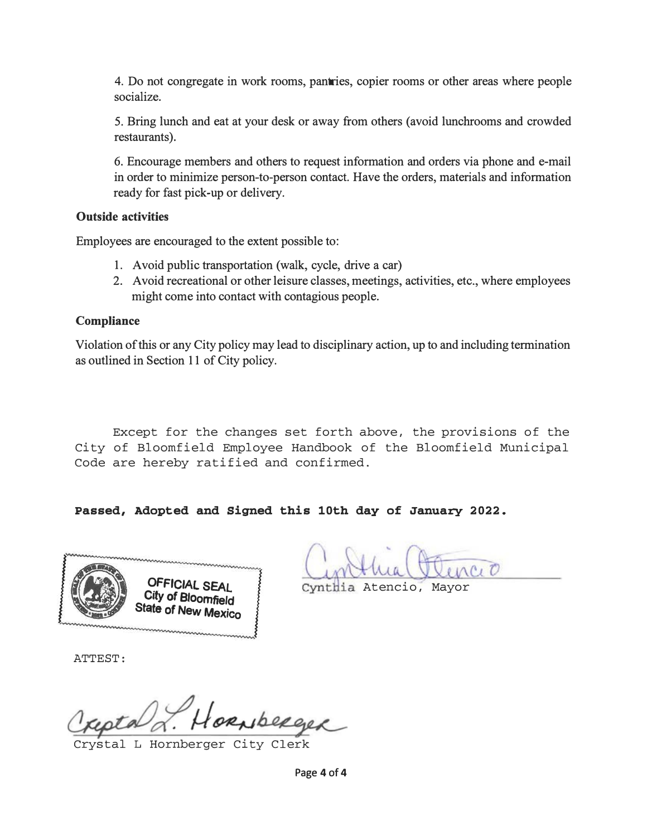4. Do not congregate in work rooms, pantries, copier rooms or other areas where people socialize.

5. Bring lunch and eat at your desk or away from others (avoid lunchrooms and crowded restaurants).

6. Encourage members and others to request information and orders via phone and e-mail in order to minimize person-to-person contact. Have the orders, materials and information ready for fast pick-up or delivery.

#### Outside activities

Employees are encouraged to the extent possible to:

- 1. Avoid public transportation (walk, cycle, drive a car)
- 2. A void recreational or other leisure classes, meetings, activities, etc., where employees might come into contact with contagious people.

#### **Compliance**

Violation of this or any City policy may lead to disciplinary action, up to and including termination as outlined in Section 11 of City policy.

Except for the changes set forth above, the provisions of the City of Bloomfield Employee Handbook of the Bloomfield Municipal Code are hereby ratified and confirmed.

Passed, Adopted and Signed this 10th day of January 2022.



Cynthia Atencio, Mayor

ATTEST:

Raberger

stal L Hornberger City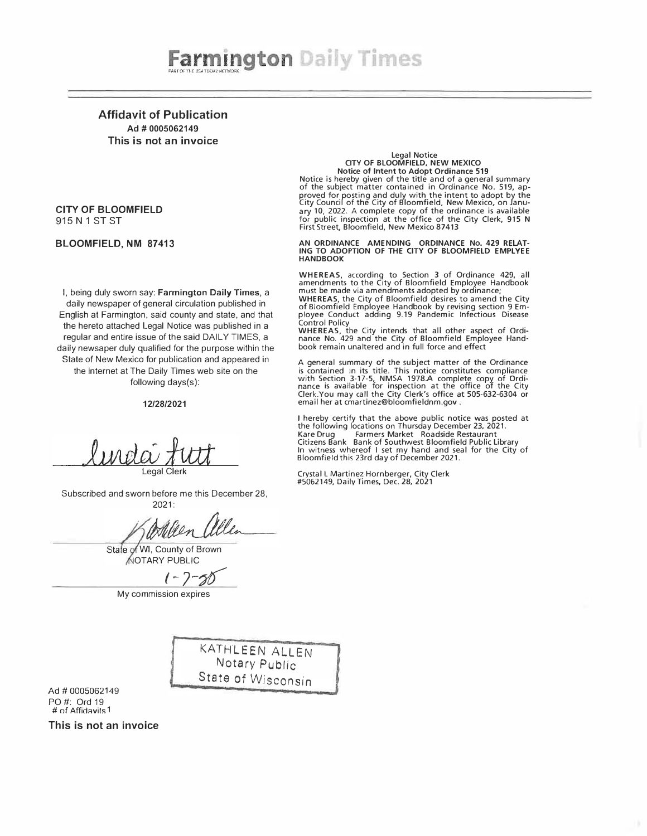Affidavit of Publication Ad# 0005062149 This is not an invoice

#### CITY OF BLOOMFIELD 915 N 1 ST ST

#### BLOOMFIELD, NM 87413

I, being duly sworn say: Farmington Daily Times, a daily newspaper of general circulation published in English at Farmington, said county and state, and that the hereto attached Legal Notice was published in a regular and entire issue of the said DAILY TIMES, a daily newsaper duly qualified for the purpose within the State of New Mexico for publication and appeared in the internet at The Daily Times web site on the following days(s):

#### 12/28/2021

Legal Clerk

Subscribed and sworn before me this December 28, 2021:

Torleen allen

Stale of WI, County of Brown OTARY PUBLIC

 $1 - 7 - 30$ 

My commission expires

KATHLEEN ALLEN Notary Public State of Wisconsin

Ad# 0005062149 PO#: Ord19 # of Affidavits 1

This is not an invoice

## Legal Notice CITY OF BLOOMFIELD, NEW MEXICO Notice of Intent to Adopt Ordinance 519 Notice is hereby given of the title and of a general summary of the subject matter contained in Ordinance No. 519, ap-

proved for posting and duly with the intent to adopt by the City Council of the City of Bloomfield, New Mexico, on January 10, 2022. A complete copy of the ordinance is available for public inspection at the office of the City Clerk, 915 N First Street, Bloomfield, New Mexico 87413

AN ORDINANCE AMENDING ORDINANCE No. 429 RELAT-<br>ING TO ADOPTION OF THE CITY OF BLOOMFIELD EMPLYEE **HANDBOOK** 

WHEREAS, according to Section 3 of Ordinance 429, all<br>amendments to the City of Bloomfield Employee Handbook<br>must be made via amendments adopted by ordinance;<br>WHEREAS, the City of Bloomfield desires to amend the City<br>of Bl

ployee Conduct adding 9.19 Pandemic Infectious Disease Control Policy

WHEREAS, the City intends that all other aspect of Ordi-nance No. 429 and the City of Bloomfield Employee Hand-book remain unaltered and in full force and effect

A general summary of the subject matter of the Ordinance is contained in its title. This notice constitutes compliance with Section 3-17-5, NMSA 1978.A complete copy of Ordi-<br>nance is available for inspection at the office of the City<br>Clerk.You may call the City Clerk's office at 505-632-6304 or<br>email her at cmartinez@bloomfieldnm.gov .

I hereby certify that the above public notice was posted at the following locations on Thursday December 23, 2021. Kare Drug Farmers Market Roadside Restaurant Citizens Bank Bank of Southwest Bloomfield Public Library In witness whereof I set my hand and seal for the City of Bloomfield this 23rd day of December 2021.

Crystal L Martinez Hornberger, City Clerk #5062149, Daily Times, Dec. 28, 2021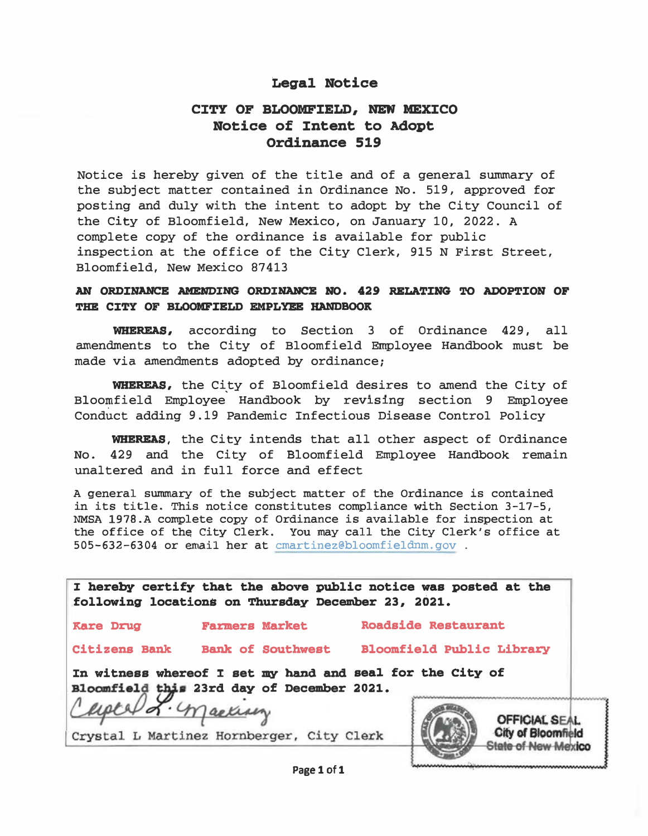#### Legal Notice

#### CITY OF BLOOMFIELD, NEW MEXICO Notice of Intent to Adopt Ordinance 519

Notice is hereby given of the title and of a general summary of the subject matter contained in Ordinance No. 519, approved for posting and duly with the intent to adopt by the City Council of the City of Bloomfield, New Mexico, on January 10, 2022. A complete copy of the ordinance is available for public inspection at the office of the City Clerk, 915 N First Street, Bloomfield, New Mexico 87413

#### AN ORDINANCE AMENDING ORDINANCE NO. 429 RELATING TO ADOPTION OF THE CITY OF BLOOMFIELD EMPLYEE HANDBOOK

WHEREAS, according to Section 3 of Ordinance 429, all amendments to the City of Bloomfield Employee Handbook must be made via amendments adopted by ordinance;

WHEREAS, the City of Bloomfield desires to amend the City of Bloomfield Employee Handbook by revising section 9 Employee Conduct adding 9.19 Pandemic Infectious Disease Control Policy

WHEREAS, the City intends that all other aspect of Ordinance No. 429 and the City of Bloomfield Employee Handbook remain unaltered and in full force and effect

A general summary of the subject matter of the Ordinance is contained in its title. This notice constitutes compliance with Section 3-17-5, NMSA 1978.A complete copy of Ordinance is available for inspection at the office of the City Clerk. You may call the City Clerk's office at 505-632-6304 or email her at cmartinez@bloomfieldnm.gov .

|                    | I hereby certify that the above public notice was posted at the<br>following locations on Thursday December 23, 2021. |                                  |                                                                                 |
|--------------------|-----------------------------------------------------------------------------------------------------------------------|----------------------------------|---------------------------------------------------------------------------------|
| <b>Kare Drug</b>   | <b>Farmers Market</b>                                                                                                 | <b>Roadside Restaurant</b>       |                                                                                 |
|                    | Citizens Bank Bank of Southwest                                                                                       | <b>Bloomfield Public Library</b> |                                                                                 |
| Captel L. machinez | In witness whereof I set my hand and seal for the City of<br>Bloomfield this 23rd day of December 2021.               |                                  |                                                                                 |
|                    | Crystal L Martinez Hornberger, City Clerk                                                                             |                                  | <b>OFFICIAL SEAL</b><br><b>City of Bloomfield</b><br><b>State of New Mexico</b> |
|                    | .                                                                                                                     |                                  |                                                                                 |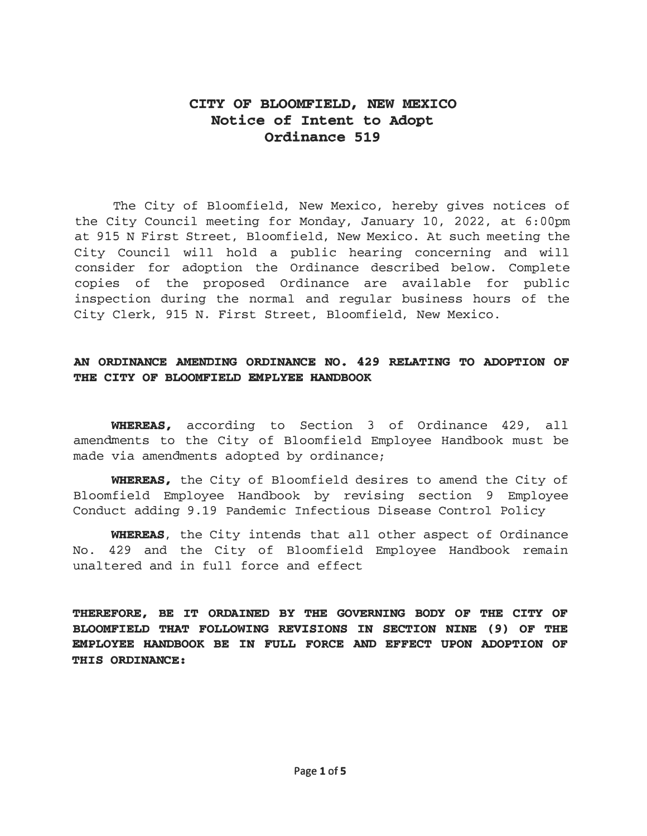#### CITY OF BLOOMFIELD, NEW MEXICO Notice of Intent to Adopt Ordinance 519

The City of Bloomfield, New Mexico, hereby gives notices of the City Council meeting for Monday, January 10, 2022, at 6:00pm at 915 N First Street, Bloomfield, New Mexico. At such meeting the City Council will hold a public hearing concerning and will consider for adoption the Ordinance described below. Complete copies of the proposed Ordinance are available for public inspection during the normal and regular business hours of the City Clerk, 915 N. First Street, Bloomfield, New Mexico.

#### AN ORDINANCE AMENDING ORDINANCE NO. 429 RELATING TO ADOPTION OF THE CITY OF BLOOMFIELD EMPLYEE HANDBOOK

WHEREAS, according to Section 3 of Ordinance 429, all amendments to the City of Bloomfield Employee Handbook must be made via amendments adopted by ordinance;

WHEREAS, the City of Bloomfield desires to amend the City of Bloomfield Employee Handbook by revising section 9 Employee Conduct adding 9.19 Pandemic Infectious Disease Control Policy

WHEREAS, the City intends that all other aspect of Ordinance No. 429 and the City of Bloomfield Employee Handbook remain unaltered and in full force and effect

THEREFORE, BE IT ORDAINED BY THE GOVERNING BODY OF THE CITY OF BLOOMFIELD THAT FOLLOWING REVISIONS IN SECTION NINE (9) OF THE EMPLOYEE HANDBOOK BE IN FULL FORCE AND EFFECT UPON ADOPTION OF THIS ORDINANCE: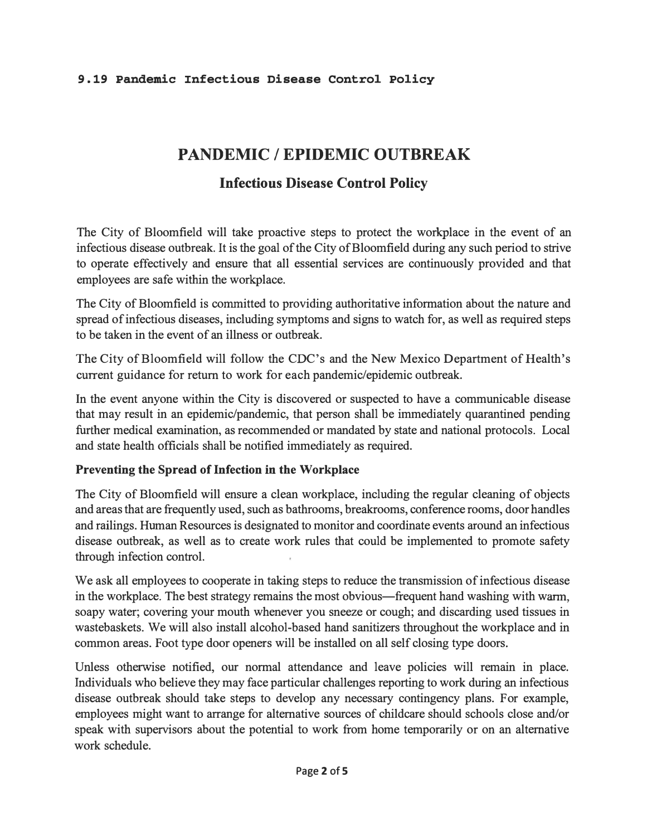#### 9. 19 Pandemic Infectious Disease Control Policy

# PANDEMIC / EPIDEMIC OUTBREAK

## Infectious Disease Control Policy

The City of Bloomfield will take proactive steps to protect the workplace in the event of an infectious disease outbreak. It is the goal of the City of Bloomfield during any such period to strive to operate effectively and ensure that all essential services are continuously provided and that employees are safe within the workplace.

The City of Bloomfield is committed to providing authoritative information about the nature and spread of infectious diseases, including symptoms and signs to watch for, as well as required steps to be taken in the event of an illness or outbreak.

The City of Bloomfield will follow the CDC's and the New Mexico Department of Health's current guidance for return to work for each pandemic/epidemic outbreak.

In the event anyone within the City is discovered or suspected to have a communicable disease that may result in an epidemic/pandemic, that person shall be immediately quarantined pending further medical examination, as recommended or mandated by state and national protocols. Local and state health officials shall be notified immediately as required.

#### Preventing the Spread of Infection in the Workplace

The City of Bloomfield will ensure a clean workplace, including the regular cleaning of objects and areas that are frequently used, such as bathrooms, breakrooms, conference rooms, door handles and railings. Human Resources is designated to monitor and coordinate events around an infectious disease outbreak, as well as to create work rules that could be implemented to promote safety through infection control.

We ask all employees to cooperate in taking steps to reduce the transmission of infectious disease in the workplace. The best strategy remains the most obvious—frequent hand washing with warm, soapy water; covering your mouth whenever you sneeze or cough; and discarding used tissues in wastebaskets. We will also install alcohol-based hand sanitizers throughout the workplace and in common areas. Foot type door openers will be installed on all self closing type doors.

Unless otherwise notified, our normal attendance and leave policies will remain in place. Individuals who believe they may face particular challenges reporting to work during an infectious disease outbreak should take steps to develop any necessary contingency plans. For example, employees might want to arrange for alternative sources of childcare should schools close and/or speak with supervisors about the potential to work from home temporarily or on an alternative work schedule.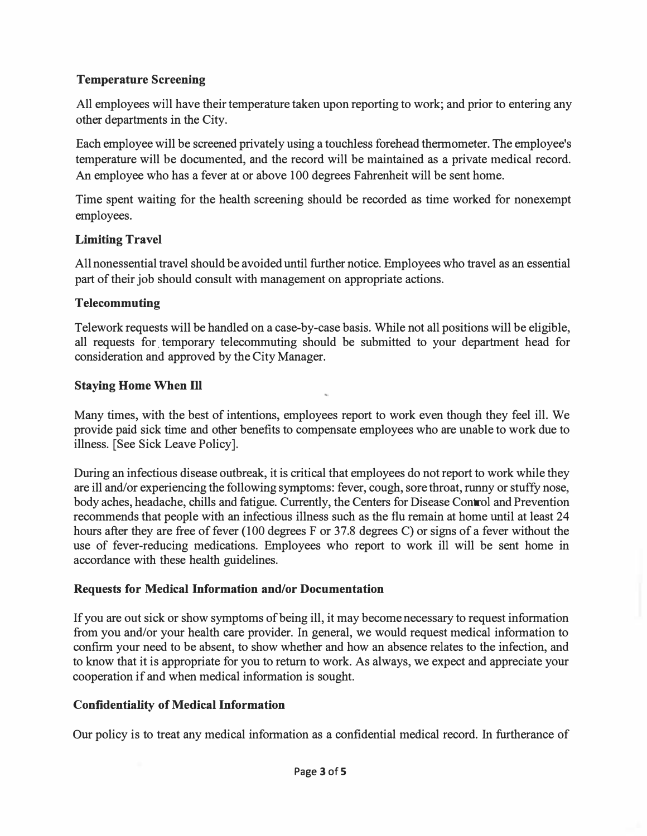#### Temperature Screening

All employees will have their temperature taken upon reporting to work; and prior to entering any other departments in the City.

Each employee will be screened privately using a touchless forehead thermometer. The employee's temperature will be documented, and the record will be maintained as a private medical record. An employee who has a fever at or above 100 degrees Fahrenheit will be sent home.

Time spent waiting for the health screening should be recorded as time worked for nonexempt employees.

#### Limiting Travel

All nonessential travel should be avoided until further notice. Employees who travel as an essential part of their job should consult with management on appropriate actions.

#### Telecommuting

Telework requests will be handled on a case-by-case basis. While not all positions will be eligible, all requests for. temporary telecommuting should be submitted to your department head for consideration and approved by the City Manager.

#### Staying Home When Ill

Many times, with the best of intentions, employees report to work even though they feel ill. We provide paid sick time and other benefits to compensate employees who are unable to work due to illness. [See Sick Leave Policy].

During an infectious disease outbreak, it is critical that employees do not report to work while they are ill and/or experiencing the following symptoms: fever, cough, sore throat, runny or stuffy nose, body aches, headache, chills and fatigue. Currently, the Centers for Disease Control and Prevention recommends that people with an infectious illness such as the flu remain at home until at least 24 hours after they are free of fever (100 degrees F or 37.8 degrees C) or signs of a fever without the use of fever-reducing medications. Employees who report to work ill will be sent home in accordance with these health guidelines.

#### Requests for Medical Information and/or Documentation

If you are out sick or show symptoms of being ill, it may become necessary to request information from you and/or your health care provider. In general, we would request medical information to confirm your need to be absent, to show whether and how an absence relates to the infection, and to know that it is appropriate for you to return to work. As always, we expect and appreciate your cooperation if and when medical information is sought.

#### Confidentiality of Medical Information

Our policy is to treat any medical information as a confidential medical record. In furtherance of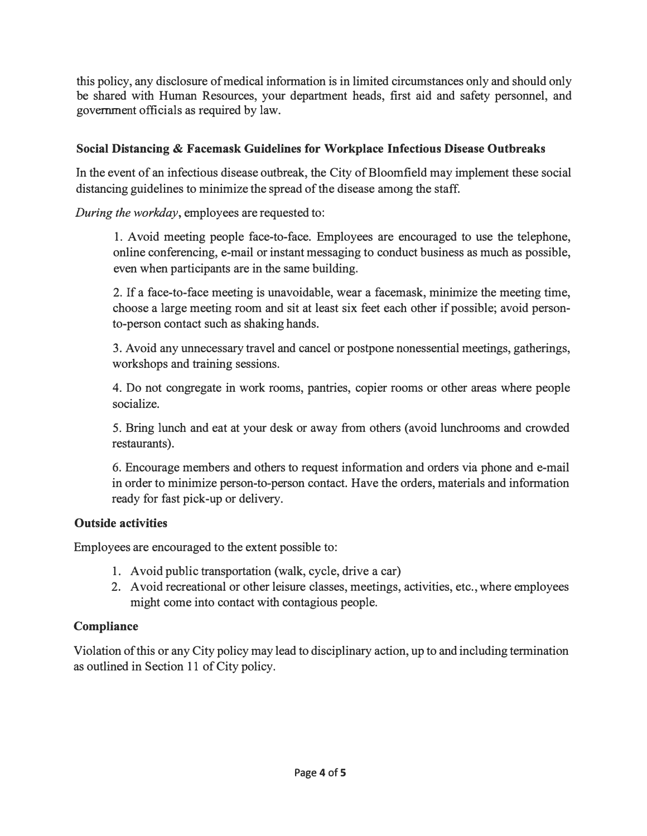this policy, any disclosure of medical information is in limited circumstances only and should only be shared with Human Resources, your department heads, first aid and safety personnel, and government officials as required by law.

#### Social Distancing & Facemask Guidelines for Workplace Infectious Disease Outbreaks

In the event of an infectious disease outbreak, the City of Bloomfield may implement these social distancing guidelines to minimize the spread of the disease among the staff.

During the workday, employees are requested to:

1. Avoid meeting people face-to-face. Employees are encouraged to use the telephone, online conferencing, e-mail or instant messaging to conduct business as much as possible, even when participants are in the same building.

2. If a face-to-face meeting is unavoidable, wear a facemask, minimize the meeting time, choose a large meeting room and sit at least six feet each other if possible; avoid personto-person contact such as shaking hands.

3. A void any unnecessary travel and cancel or postpone nonessential meetings, gatherings, workshops and training sessions.

4. Do not congregate in work rooms, pantries, copier rooms or other areas where people socialize.

5. Bring lunch and eat at your desk or away from others (avoid lunchrooms and crowded restaurants).

6. Encourage members and others to request information and orders via phone and e-mail in order to minimize person-to-person contact. Have the orders, materials and information ready for fast pick-up or delivery.

#### Outside activities

Employees are encouraged to the extent possible to:

- 1. Avoid public transportation (walk, cycle, drive a car)
- 2. Avoid recreational or other leisure classes, meetings, activities, etc., where employees might come into contact with contagious people.

#### **Compliance**

Violation of this or any City policy may lead to disciplinary action, up to and including termination as outlined in Section 11 of City policy.